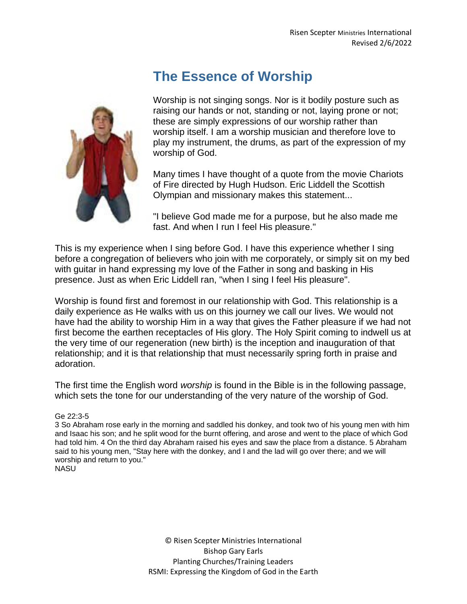## **The Essence of Worship**



Worship is not singing songs. Nor is it bodily posture such as raising our hands or not, standing or not, laying prone or not; these are simply expressions of our worship rather than worship itself. I am a worship musician and therefore love to play my instrument, the drums, as part of the expression of my worship of God.

Many times I have thought of a quote from the movie Chariots of Fire directed by Hugh Hudson. Eric Liddell the Scottish Olympian and missionary makes this statement...

"I believe God made me for a purpose, but he also made me fast. And when I run I feel His pleasure."

This is my experience when I sing before God. I have this experience whether I sing before a congregation of believers who join with me corporately, or simply sit on my bed with guitar in hand expressing my love of the Father in song and basking in His presence. Just as when Eric Liddell ran, "when I sing I feel His pleasure".

Worship is found first and foremost in our relationship with God. This relationship is a daily experience as He walks with us on this journey we call our lives. We would not have had the ability to worship Him in a way that gives the Father pleasure if we had not first become the earthen receptacles of His glory. The Holy Spirit coming to indwell us at the very time of our regeneration (new birth) is the inception and inauguration of that relationship; and it is that relationship that must necessarily spring forth in praise and adoration.

The first time the English word *worship* is found in the Bible is in the following passage, which sets the tone for our understanding of the very nature of the worship of God.

## Ge 22:3-5

3 So Abraham rose early in the morning and saddled his donkey, and took two of his young men with him and Isaac his son; and he split wood for the burnt offering, and arose and went to the place of which God had told him. 4 On the third day Abraham raised his eyes and saw the place from a distance. 5 Abraham said to his young men, "Stay here with the donkey, and I and the lad will go over there; and we will worship and return to you." NASU

> © Risen Scepter Ministries International Bishop Gary Earls Planting Churches/Training Leaders RSMI: Expressing the Kingdom of God in the Earth